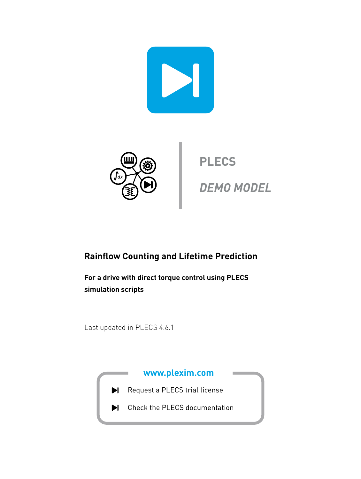



**PLECS DEMO MODEL**

## **Rainflow Counting and Lifetime Prediction**

**For a drive with direct torque control using PLECS simulation scripts**

Last updated in PLECS 4.6.1

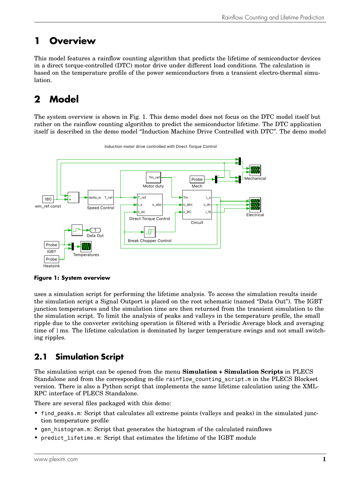## **1 Overview**

This model features a rainflow counting algorithm that predicts the lifetime of semiconductor devices in a direct torque-controlled (DTC) motor drive under different load conditions. The calculation is based on the temperature profile of the power semiconductors from a transient electro-thermal simulation.

# **2 Model**

The system overview is shown in Fig. [1.](#page-1-0) This demo model does not focus on the DTC model itself but rather on the rainflow counting algorithm to predict the semiconductor lifetime. The DTC application itself is described in the demo model "Induction Machine Drive Controlled with DTC". The demo model

<span id="page-1-0"></span>

Induction motor drive controlled with Direct Torque Control

**Figure 1: System overview**

uses a simulation script for performing the lifetime analysis. To access the simulation results inside the simulation script a Signal Outport is placed on the root schematic (named "Data Out"). The IGBT junction temperatures and the simulation time are then returned from the transient simulation to the the simulation script. To limit the analysis of peaks and valleys in the temperature profile, the small ripple due to the converter switching operation is filtered with a Periodic Average block and averaging time of 1 ms. The lifetime calculation is dominated by larger temperature swings and not small switching ripples.

### **2.1 Simulation Script**

The simulation script can be opened from the menu **Simulation + Simulation Scripts** in PLECS Standalone and from the corresponding m-file rainflow counting script.m in the PLECS Blockset version. There is also a Python script that implements the same lifetime calculation using the XML-RPC interface of PLECS Standalone.

There are several files packaged with this demo:

- find peaks.m: Script that calculates all extreme points (valleys and peaks) in the simulated junction temperature profile
- gen histogram.m: Script that generates the histogram of the calculated rainflows
- predict lifetime.m: Script that estimates the lifetime of the IGBT module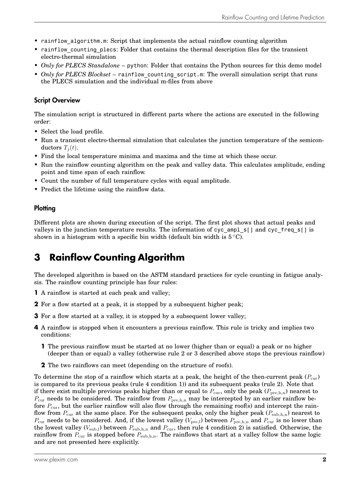- rainflow algorithm.m: Script that implements the actual rainflow counting algorithm
- rainflow counting plecs: Folder that contains the thermal description files for the transient electro-thermal simulation
- *Only for PLECS Standalone* python: Folder that contains the Python sources for this demo model
- *Only for PLECS Blockset* rainflow counting script.m: The overall simulation script that runs the PLECS simulation and the individual m-files from above

#### Script Overview

The simulation script is structured in different parts where the actions are executed in the following order:

- Select the load profile.
- Run a transient electro-thermal simulation that calculates the junction temperature of the semiconductors  $T_i(t)$ .
- Find the local temperature minima and maxima and the time at which these occur.
- Run the rainflow counting algorithm on the peak and valley data. This calculates amplitude, ending point and time span of each rainflow.
- Count the number of full temperature cycles with equal amplitude.
- Predict the lifetime using the rainflow data.

#### **Plotting**

Different plots are shown during execution of the script. The first plot shows that actual peaks and valleys in the junction temperature results. The information of cyc\_ampl\_s[] and cyc\_freq\_s[] is shown in a histogram with a specific bin width (default bin width is  $5^{\circ}$ C).

## **3 Rainflow Counting Algorithm**

The developed algorithm is based on the ASTM standard practices for cycle counting in fatigue analysis. The rainflow counting principle has four rules:

- **1** A rainflow is started at each peak and valley;
- **2** For a flow started at a peak, it is stopped by a subsequent higher peak;
- **3** For a flow started at a valley, it is stopped by a subsequent lower valley;
- **4** A rainflow is stopped when it encounters a previous rainflow. This rule is tricky and implies two conditions:
	- **1** The previous rainflow must be started at no lower (higher than or equal) a peak or no higher (deeper than or equal) a valley (otherwise rule 2 or 3 described above stops the previous rainflow)
	- **2** The two rainflows can meet (depending on the structure of roofs).

To determine the stop of a rainflow which starts at a peak, the height of the then-current peak  $(P_{cur})$ is compared to its previous peaks (rule 4 condition 1)) and its subsequent peaks (rule 2). Note that if there exist multiple previous peaks higher than or equal to  $P_{\text{cur}}$ , only the peak ( $P_{\text{pre},h,n}$ ) nearest to  $P_{\text{cur}}$  needs to be considered. The rainflow from  $P_{\text{pre},h,n}$  may be intercepted by an earlier rainflow before  $P_{\text{cur}}$ , but the earlier rainflow will also flow through the remaining roof(s) and intercept the rainflow from  $P_{\text{cur}}$  at the same place. For the subsequent peaks, only the higher peak  $(P_{\text{sub},h,n})$  nearest to  $P_{\text{cur}}$  needs to be considered. And, if the lowest valley ( $V_{\text{pre,l}}$ ) between  $P_{\text{pre,h,n}}$  and  $P_{\text{cur}}$  is no lower than the lowest valley ( $V_{\text{sub,l}}$ ) between  $P_{\text{sub,h,n}}$  and  $P_{\text{cur}}$ , then rule 4 condition 2) is satisfied. Otherwise, the rainflow from  $P_{\text{cur}}$  is stopped before  $P_{\text{sub,h,n}}$ . The rainflows that start at a valley follow the same logic and are not presented here explicitly.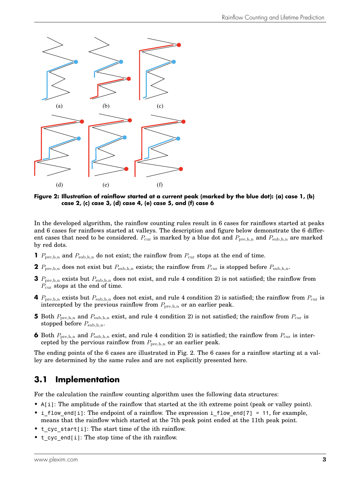<span id="page-3-0"></span>

**Figure 2: Illustration of rainflow started at a current peak (marked by the blue dot): (a) case 1, (b) case 2, (c) case 3, (d) case 4, (e) case 5, and (f) case 6**

In the developed algorithm, the rainflow counting rules result in 6 cases for rainflows started at peaks and 6 cases for rainflows started at valleys. The description and figure below demonstrate the 6 different cases that need to be considered.  $P_{cur}$  is marked by a blue dot and  $P_{pre,h,n}$  and  $P_{sub,h,n}$  are marked by red dots.

- **1**  $P_{\text{pre,h,n}}$  and  $P_{\text{sub,h,n}}$  do not exist; the rainflow from  $P_{\text{cur}}$  stops at the end of time.
- **2**  $P_{\text{pre},h,n}$  does not exist but  $P_{\text{sub},h,n}$  exists; the rainflow from  $P_{\text{cur}}$  is stopped before  $P_{\text{sub},h,n}$ .
- **3**  $P_{\text{pre},h,n}$  exists but  $P_{\text{sub},h,n}$  does not exist, and rule 4 condition 2) is not satisfied; the rainflow from  $P_{\text{cur}}$  stops at the end of time.
- **4**  $P_{\text{pre},h,n}$  exists but  $P_{\text{sub},h,n}$  does not exist, and rule 4 condition 2) is satisfied; the rainflow from  $P_{\text{cur}}$  is intercepted by the previous rainflow from  $P_{\text{pre},h,n}$  or an earlier peak.
- **5** Both  $P_{\text{pre},h,n}$  and  $P_{\text{sub},h,n}$  exist, and rule 4 condition 2) is not satisfied; the rainflow from  $P_{\text{cur}}$  is stopped before  $P_{\text{sub,h,n}}$ .
- **6** Both  $P_{\text{pre},h,n}$  and  $P_{\text{sub},h,n}$  exist, and rule 4 condition 2) is satisfied; the rainflow from  $P_{\text{cur}}$  is intercepted by the pervious rainflow from  $P_{\text{pre},h,n}$  or an earlier peak.

The ending points of the 6 cases are illustrated in Fig. [2.](#page-3-0) The 6 cases for a rainflow starting at a valley are determined by the same rules and are not explicitly presented here.

### **3.1 Implementation**

For the calculation the rainflow counting algorithm uses the following data structures:

- A[i]: The amplitude of the rainflow that started at the ith extreme point (peak or valley point).
- i flow end[i]: The endpoint of a rainflow. The expression i flow end[7] = 11, for example, means that the rainflow which started at the 7th peak point ended at the 11th peak point.
- t\_cyc\_start[i]: The start time of the ith rainflow.
- t\_cyc\_end[i]: The stop time of the ith rainflow.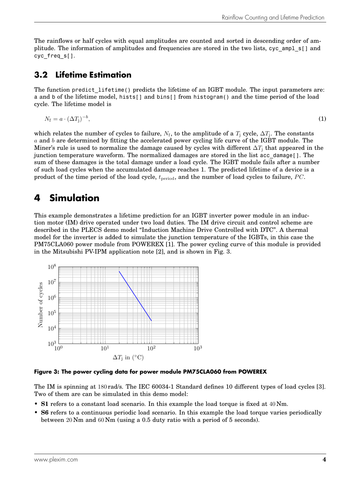The rainflows or half cycles with equal amplitudes are counted and sorted in descending order of amplitude. The information of amplitudes and frequencies are stored in the two lists, cyc\_ampl\_s[] and cyc freq s[].

#### **3.2 Lifetime Estimation**

The function predict lifetime() predicts the lifetime of an IGBT module. The input parameters are: a and b of the lifetime model, hists[] and bins[] from histogram() and the time period of the load cycle. The lifetime model is

$$
N_{\rm f} = a \cdot (\Delta T_{\rm j})^{-b},\tag{1}
$$

which relates the number of cycles to failure,  $N_{\rm f}$ , to the amplitude of a  $T_{\rm j}$  cycle,  $\Delta T_{\rm j}$ . The constants a and b are determined by fitting the accelerated power cycling life curve of the IGBT module. The Miner's rule is used to normalize the damage caused by cycles with different  $\Delta T_i$  that appeared in the junction temperature waveform. The normalized damages are stored in the list acc\_damage[]. The sum of these damages is the total damage under a load cycle. The IGBT module fails after a number of such load cycles when the accumulated damage reaches 1. The predicted lifetime of a device is a product of the time period of the load cycle,  $t_{period}$ , and the number of load cycles to failure, PC.

## **4 Simulation**

This example demonstrates a lifetime prediction for an IGBT inverter power module in an induction motor (IM) drive operated under two load duties. The IM drive circuit and control scheme are described in the PLECS demo model "Induction Machine Drive Controlled with DTC". A thermal model for the inverter is added to simulate the junction temperature of the IGBTs, in this case the PM75CLA060 power module from POWEREX [\[1\]](#page-7-0). The power cycling curve of this module is provided in the Mitsubishi PV-IPM application note [\[2\]](#page-7-1), and is shown in Fig. [3.](#page-4-0)

<span id="page-4-0"></span>

**Figure 3: The power cycling data for power module PM75CLA060 from POWEREX**

The IM is spinning at 180 rad/s. The IEC 60034-1 Standard defines 10 different types of load cycles [\[3\]](#page-7-2). Two of them are can be simulated in this demo model:

- **S1** refers to a constant load scenario. In this example the load torque is fixed at 40 Nm.
- **S6** refers to a continuous periodic load scenario. In this example the load torque varies periodically between 20 Nm and 60 Nm (using a 0.5 duty ratio with a period of 5 seconds).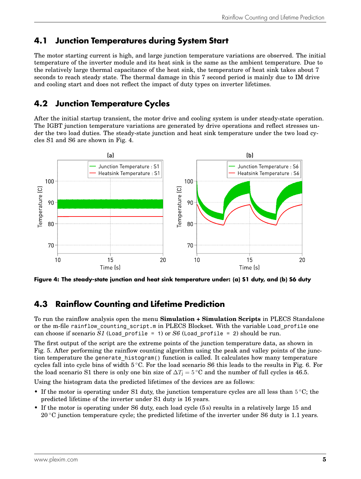### **4.1 Junction Temperatures during System Start**

The motor starting current is high, and large junction temperature variations are observed. The initial temperature of the inverter module and its heat sink is the same as the ambient temperature. Due to the relatively large thermal capacitance of the heat sink, the temperature of heat sink takes about 7 seconds to reach steady state. The thermal damage in this 7 second period is mainly due to IM drive and cooling start and does not reflect the impact of duty types on inverter lifetimes.

### **4.2 Junction Temperature Cycles**

After the initial startup transient, the motor drive and cooling system is under steady-state operation. The IGBT junction temperature variations are generated by drive operations and reflect stresses under the two load duties. The steady-state junction and heat sink temperature under the two load cycles S1 and S6 are shown in Fig. [4.](#page-5-0)

<span id="page-5-0"></span>

**Figure 4: The steady-state junction and heat sink temperature under: (a) S1 duty, and (b) S6 duty**

### **4.3 Rainflow Counting and Lifetime Prediction**

To run the rainflow analysis open the menu **Simulation + Simulation Scripts** in PLECS Standalone or the m-file rainflow counting script.m in PLECS Blockset. With the variable Load profile one can choose if scenario *S1* (Load profile = 1) or *S6* (Load profile = 2) should be run.

The first output of the script are the extreme points of the junction temperature data, as shown in Fig. [5.](#page-6-0) After performing the rainflow counting algorithm using the peak and valley points of the junction temperature the generate histogram() function is called. It calculates how many temperature cycles fall into cycle bins of width 5 ◦C. For the load scenario S6 this leads to the results in Fig. [6.](#page-6-1) For the load scenario S1 there is only one bin size of  $\Delta T_i = 5$  °C and the number of full cycles is 46.5.

Using the histogram data the predicted lifetimes of the devices are as follows:

- If the motor is operating under S1 duty, the junction temperature cycles are all less than  $5^{\circ}$ C; the predicted lifetime of the inverter under S1 duty is 16 years.
- If the motor is operating under S6 duty, each load cycle (5 s) results in a relatively large 15 and 20  $\degree$ C junction temperature cycle; the predicted lifetime of the inverter under S6 duty is 1.1 years.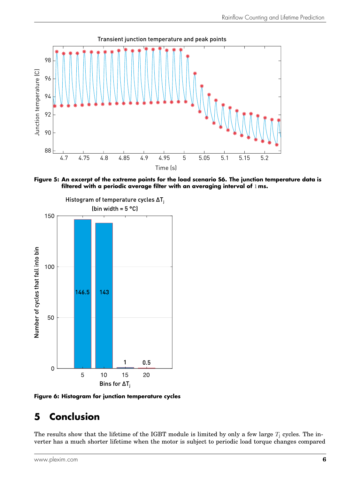<span id="page-6-0"></span>

**Figure 5: An excerpt of the extreme points for the load scenario S6. The junction temperature data is filtered with a periodic average filter with an averaging interval of** 1 **ms.**

<span id="page-6-1"></span>



# **5 Conclusion**

The results show that the lifetime of the IGBT module is limited by only a few large  $T_i$  cycles. The inverter has a much shorter lifetime when the motor is subject to periodic load torque changes compared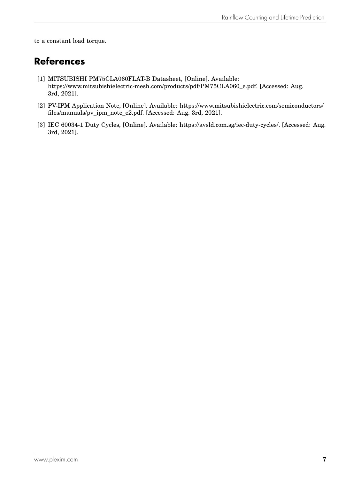to a constant load torque.

## **References**

- <span id="page-7-0"></span>[1] MITSUBISHI PM75CLA060FLAT-B Datasheet, [Online]. Available: [https://www.mitsubishielectric-mesh.com/products/pdf/PM75CLA060\\_e.pdf.](https://www.mitsubishielectric-mesh.com/products/pdf/PM75CLA060_e.pdf) [Accessed: Aug. 3rd, 2021].
- <span id="page-7-1"></span>[2] PV-IPM Application Note, [Online]. Available: [https://www.mitsubishielectric.com/semiconductors/](https://www.mitsubishielectric.com/semiconductors/files/manuals/pv_ipm_note_e2.pdf) [files/manuals/pv\\_ipm\\_note\\_e2.pdf.](https://www.mitsubishielectric.com/semiconductors/files/manuals/pv_ipm_note_e2.pdf) [Accessed: Aug. 3rd, 2021].
- <span id="page-7-2"></span>[3] IEC 60034-1 Duty Cycles, [Online]. Available: [https://avsld.com.sg/iec-duty-cycles/.](https://avsld.com.sg/iec-duty-cycles) [Accessed: Aug. 3rd, 2021].